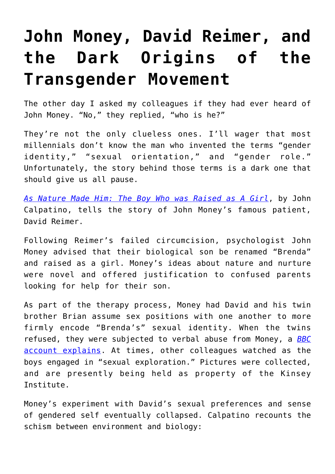## **[John Money, David Reimer, and](https://intellectualtakeout.org/2019/11/john-money-david-reimer-and-the-dark-origins-of-the-transgender-movement/) [the Dark Origins of the](https://intellectualtakeout.org/2019/11/john-money-david-reimer-and-the-dark-origins-of-the-transgender-movement/) [Transgender Movement](https://intellectualtakeout.org/2019/11/john-money-david-reimer-and-the-dark-origins-of-the-transgender-movement/)**

The other day I asked my colleagues if they had ever heard of John Money. "No," they replied, "who is he?"

They're not the only clueless ones. I'll wager that most millennials don't know the man who invented the terms "gender identity," "sexual orientation," and "gender role." Unfortunately, the story behind those terms is a dark one that should give us all pause.

*[As Nature Made Him: The Boy Who was Raised as A Girl](https://www.amazon.com/gp/product/0061120561/ref=as_li_qf_asin_il_tl?ie=UTF8&tag=intelltakeo0d-20&creative=9325&linkCode=as2&creativeASIN=0061120561&linkId=d5edc2f5902a88d19c390c857cba394f)*, by John Calpatino, tells the story of John Money's famous patient, David Reimer.

Following Reimer's failed circumcision, psychologist John Money advised that their biological son be renamed "Brenda" and raised as a girl. Money's ideas about nature and nurture were novel and offered justification to confused parents looking for help for their son.

As part of the therapy process, Money had David and his twin brother Brian assume sex positions with one another to more firmly encode "Brenda's" sexual identity. When the twins refused, they were subjected to verbal abuse from Money, a *[BBC](https://www.youtube.com/watch?v=MUTcwqR4Q4Y)* [account explains.](https://www.youtube.com/watch?v=MUTcwqR4Q4Y) At times, other colleagues watched as the boys engaged in "sexual exploration." Pictures were collected, and are presently being held as property of the Kinsey Institute.

Money's experiment with David's sexual preferences and sense of gendered self eventually collapsed. Calpatino recounts the schism between environment and biology: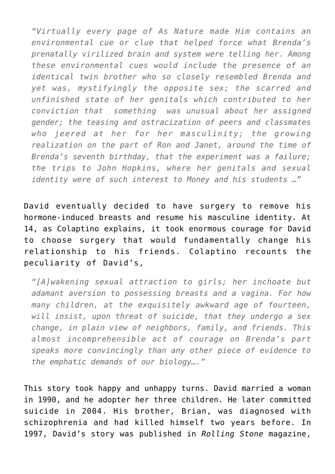*"Virtually every page of As Nature made Him contains an environmental cue or clue that helped force what Brenda's prenatally virilized brain and system were telling her. Among these environmental cues would include the presence of an identical twin brother who so closely resembled Brenda and yet was, mystifyingly the opposite sex; the scarred and unfinished state of her genitals which contributed to her conviction that something was unusual about her assigned gender; the teasing and ostracization of peers and classmates who jeered at her for her masculinity; the growing realization on the part of Ron and Janet, around the time of Brenda's seventh birthday, that the experiment was a failure; the trips to John Hopkins, where her genitals and sexual identity were of such interest to Money and his students …"*

David eventually decided to have surgery to remove his hormone-induced breasts and resume his masculine identity. At 14, as Colaptino explains, it took enormous courage for David to choose surgery that would fundamentally change his relationship to his friends. Colaptino recounts the peculiarity of David's,

*"[A]wakening sexual attraction to girls; her inchoate but adamant aversion to possessing breasts and a vagina. For how many children, at the exquisitely awkward age of fourteen, will insist, upon threat of suicide, that they undergo a sex change, in plain view of neighbors, family, and friends. This almost incomprehensible act of courage on Brenda's part speaks more convincingly than any other piece of evidence to the emphatic demands of our biology…."*

This story took happy and unhappy turns. David married a woman in 1990, and he adopter her three children. He later committed suicide in 2004. His brother, Brian, was diagnosed with schizophrenia and had killed himself two years before. In 1997, David's story was published in *Rolling Stone* magazine,